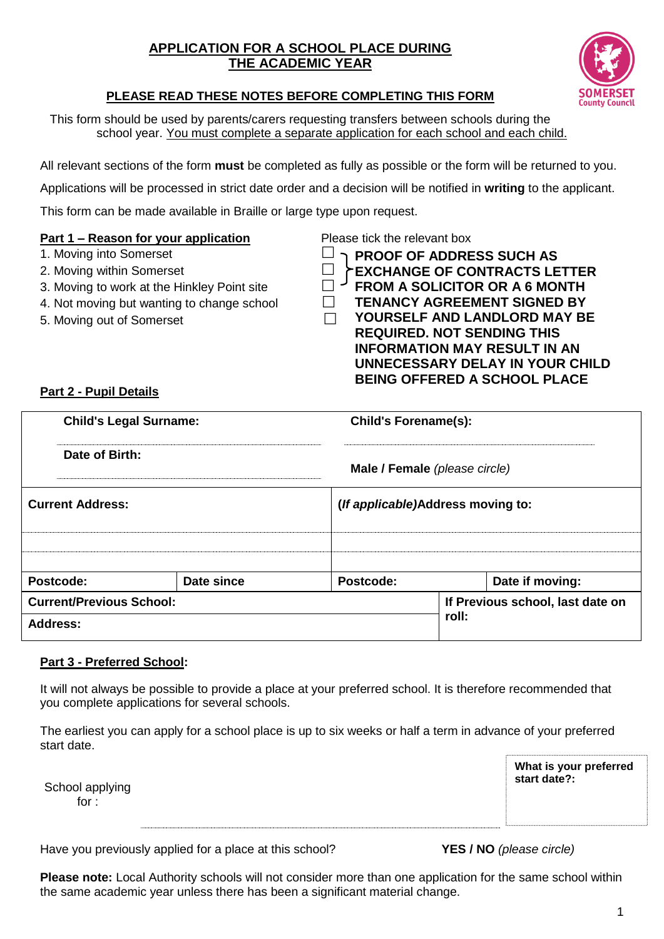## **APPLICATION FOR A SCHOOL PLACE DURING THE ACADEMIC YEAR**



## **PLEASE READ THESE NOTES BEFORE COMPLETING THIS FORM**

This form should be used by parents/carers requesting transfers between schools during the school year. You must complete a separate application for each school and each child.

All relevant sections of the form **must** be completed as fully as possible or the form will be returned to you.

Applications will be processed in strict date order and a decision will be notified in **writing** to the applicant.

This form can be made available in Braille or large type upon request.

### **Part 1 – Reason for your application** Please tick the relevant box

- 1. Moving into Somerset
- 2. Moving within Somerset
- 3. Moving to work at the Hinkley Point site  $\Box$
- 4. Not moving but wanting to change school
- 5. Moving out of Somerset

**PROOF OF ADDRESS SUCH AS EXCHANGE OF CONTRACTS LETTER FROM A SOLICITOR OR A 6 MONTH TENANCY AGREEMENT SIGNED BY YOURSELF AND LANDLORD MAY BE REQUIRED. NOT SENDING THIS INFORMATION MAY RESULT IN AN UNNECESSARY DELAY IN YOUR CHILD BEING OFFERED A SCHOOL PLACE**

## **Part 2 - Pupil Details**

| <b>Child's Legal Surname:</b>   |                                  | <b>Child's Forename(s):</b>       |  |  |  |  |
|---------------------------------|----------------------------------|-----------------------------------|--|--|--|--|
| Date of Birth:                  |                                  | Male / Female (please circle)     |  |  |  |  |
| <b>Current Address:</b>         |                                  | (If applicable)Address moving to: |  |  |  |  |
|                                 |                                  |                                   |  |  |  |  |
| Postcode:                       | Date since                       | Postcode:<br>Date if moving:      |  |  |  |  |
| <b>Current/Previous School:</b> | If Previous school, last date on |                                   |  |  |  |  |
| Address:                        |                                  | roll:                             |  |  |  |  |

#### **Part 3 - Preferred School:**

It will not always be possible to provide a place at your preferred school. It is therefore recommended that you complete applications for several schools.

The earliest you can apply for a school place is up to six weeks or half a term in advance of your preferred start date.

| School applying |  |
|-----------------|--|
| for :           |  |

**What is your preferred start date?:**

Have you previously applied for a place at this school? **YES / NO** *(please circle)*

**Please note:** Local Authority schools will not consider more than one application for the same school within the same academic year unless there has been a significant material change.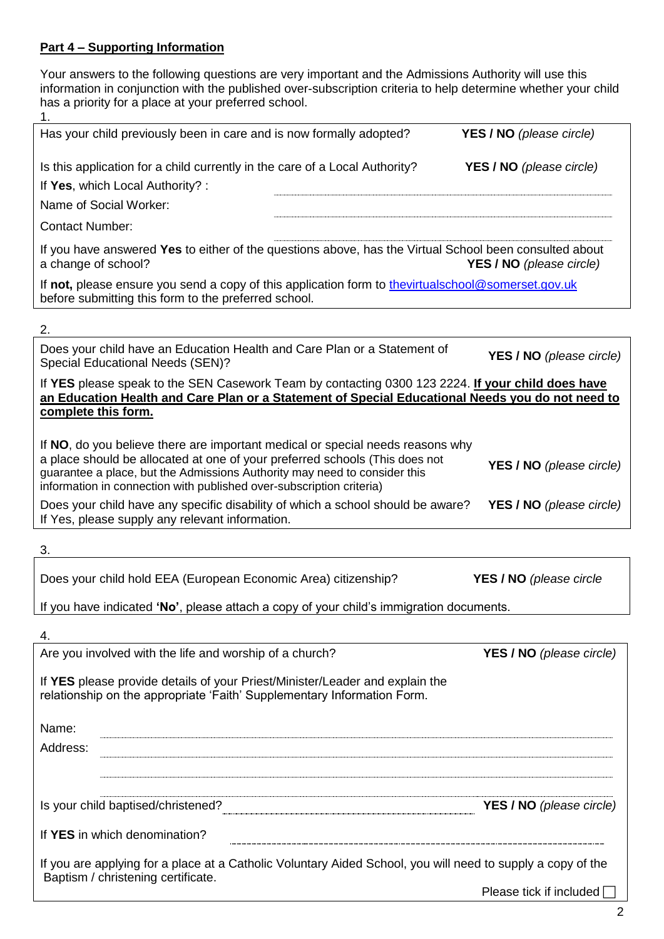#### **Part 4 – Supporting Information**

Your answers to the following questions are very important and the Admissions Authority will use this information in conjunction with the published over-subscription criteria to help determine whether your child has a priority for a place at your preferred school.

| 1.                                                                                                                                                                                                                                                                                                                 |                                  |
|--------------------------------------------------------------------------------------------------------------------------------------------------------------------------------------------------------------------------------------------------------------------------------------------------------------------|----------------------------------|
| Has your child previously been in care and is now formally adopted?                                                                                                                                                                                                                                                | <b>YES / NO</b> (please circle)  |
| Is this application for a child currently in the care of a Local Authority?<br>If Yes, which Local Authority? :<br>Name of Social Worker:                                                                                                                                                                          | YES / NO (please circle)         |
| <b>Contact Number:</b>                                                                                                                                                                                                                                                                                             |                                  |
| If you have answered Yes to either of the questions above, has the Virtual School been consulted about<br>a change of school?                                                                                                                                                                                      | <b>YES / NO</b> (please circle)  |
| If not, please ensure you send a copy of this application form to thevirtualschool@somerset.gov.uk<br>before submitting this form to the preferred school.                                                                                                                                                         |                                  |
| 2.                                                                                                                                                                                                                                                                                                                 |                                  |
| Does your child have an Education Health and Care Plan or a Statement of<br>Special Educational Needs (SEN)?                                                                                                                                                                                                       | YES / NO (please circle)         |
| If YES please speak to the SEN Casework Team by contacting 0300 123 2224. If your child does have<br>an Education Health and Care Plan or a Statement of Special Educational Needs you do not need to<br>complete this form.                                                                                       |                                  |
| If NO, do you believe there are important medical or special needs reasons why<br>a place should be allocated at one of your preferred schools (This does not<br>guarantee a place, but the Admissions Authority may need to consider this<br>information in connection with published over-subscription criteria) | <b>YES / NO</b> (please circle)  |
| Does your child have any specific disability of which a school should be aware?<br>If Yes, please supply any relevant information.                                                                                                                                                                                 | <b>YES / NO</b> (please circle)  |
| 3.                                                                                                                                                                                                                                                                                                                 |                                  |
| Does your child hold EEA (European Economic Area) citizenship?                                                                                                                                                                                                                                                     | YES / NO (please circle          |
| If you have indicated 'No', please attach a copy of your child's immigration documents.                                                                                                                                                                                                                            |                                  |
| 4.                                                                                                                                                                                                                                                                                                                 |                                  |
| Are you involved with the life and worship of a church?                                                                                                                                                                                                                                                            | YES / NO (please circle)         |
| If YES please provide details of your Priest/Minister/Leader and explain the<br>relationship on the appropriate 'Faith' Supplementary Information Form.                                                                                                                                                            |                                  |
| Name:                                                                                                                                                                                                                                                                                                              |                                  |
| Address:                                                                                                                                                                                                                                                                                                           |                                  |
|                                                                                                                                                                                                                                                                                                                    |                                  |
| Is your child baptised/christened?                                                                                                                                                                                                                                                                                 | <b>YES / NO</b> (please circle)  |
| If YES in which denomination?                                                                                                                                                                                                                                                                                      |                                  |
| If you are applying for a place at a Catholic Voluntary Aided School, you will need to supply a copy of the<br>Baptism / christening certificate.                                                                                                                                                                  |                                  |
|                                                                                                                                                                                                                                                                                                                    | Please tick if included $\lceil$ |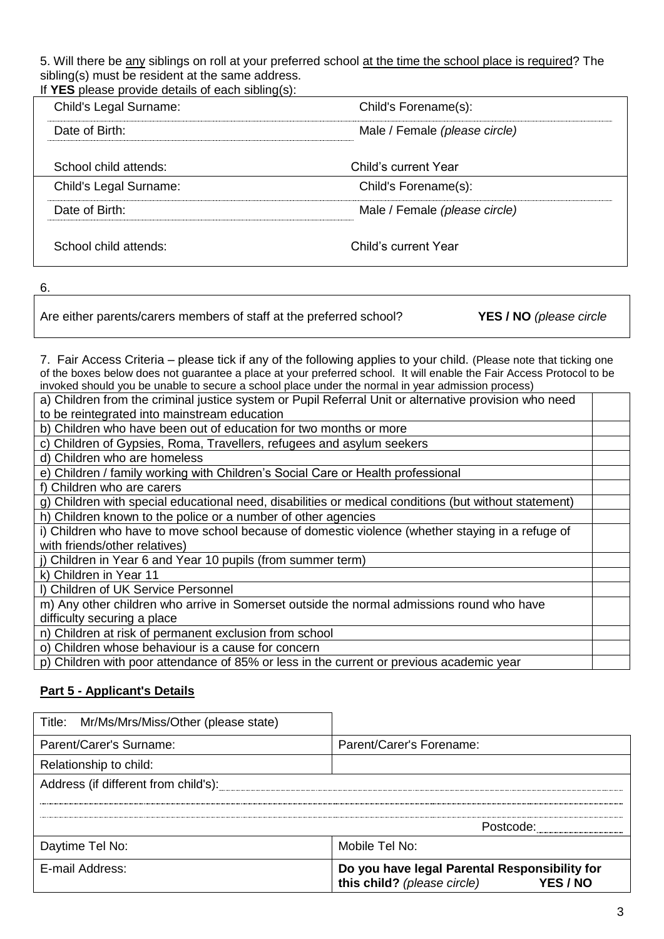5. Will there be any siblings on roll at your preferred school at the time the school place is required? The sibling(s) must be resident at the same address. If **YES** please provide details of each sibling(s):

| $\overline{\mathsf{I}}$ r $\mathsf{E}$ s piease provide details or each sibilitique. |                               |
|--------------------------------------------------------------------------------------|-------------------------------|
| Child's Legal Surname:                                                               | Child's Forename(s):          |
| Date of Birth:                                                                       | Male / Female (please circle) |
|                                                                                      |                               |
| School child attends:                                                                | Child's current Year          |
| Child's Legal Surname:                                                               | Child's Forename(s):          |
| Date of Birth:                                                                       | Male / Female (please circle) |
|                                                                                      |                               |
| School child attends:                                                                | Child's current Year          |

6.

Are either parents/carers members of staff at the preferred school? **YES / NO** *(please circle*

7. Fair Access Criteria – please tick if any of the following applies to your child. (Please note that ticking one of the boxes below does not guarantee a place at your preferred school. It will enable the Fair Access Protocol to be invoked should you be unable to secure a school place under the normal in year admission process)

| a) Children from the criminal justice system or Pupil Referral Unit or alternative provision who need |  |
|-------------------------------------------------------------------------------------------------------|--|
| to be reintegrated into mainstream education                                                          |  |

b) Children who have been out of education for two months or more

c) Children of Gypsies, Roma, Travellers, refugees and asylum seekers

d) Children who are homeless

e) Children / family working with Children's Social Care or Health professional

f) Children who are carers

g) Children with special educational need, disabilities or medical conditions (but without statement) h) Children known to the police or a number of other agencies

i) Children who have to move school because of domestic violence (whether staying in a refuge of with friends/other relatives)

j) Children in Year 6 and Year 10 pupils (from summer term)

k) Children in Year 11

l) Children of UK Service Personnel

m) Any other children who arrive in Somerset outside the normal admissions round who have difficulty securing a place

n) Children at risk of permanent exclusion from school

o) Children whose behaviour is a cause for concern

p) Children with poor attendance of 85% or less in the current or previous academic year

## **Part 5 - Applicant's Details**

| Title: Mr/Ms/Mrs/Miss/Other (please state) |                                                                                          |
|--------------------------------------------|------------------------------------------------------------------------------------------|
| Parent/Carer's Surname:                    | Parent/Carer's Forename:                                                                 |
| Relationship to child:                     |                                                                                          |
| Address (if different from child's):       |                                                                                          |
|                                            |                                                                                          |
|                                            | Postcode:                                                                                |
| Daytime Tel No:                            | Mobile Tel No:                                                                           |
| E-mail Address:                            | Do you have legal Parental Responsibility for<br>this child? (please circle)<br>YES / NO |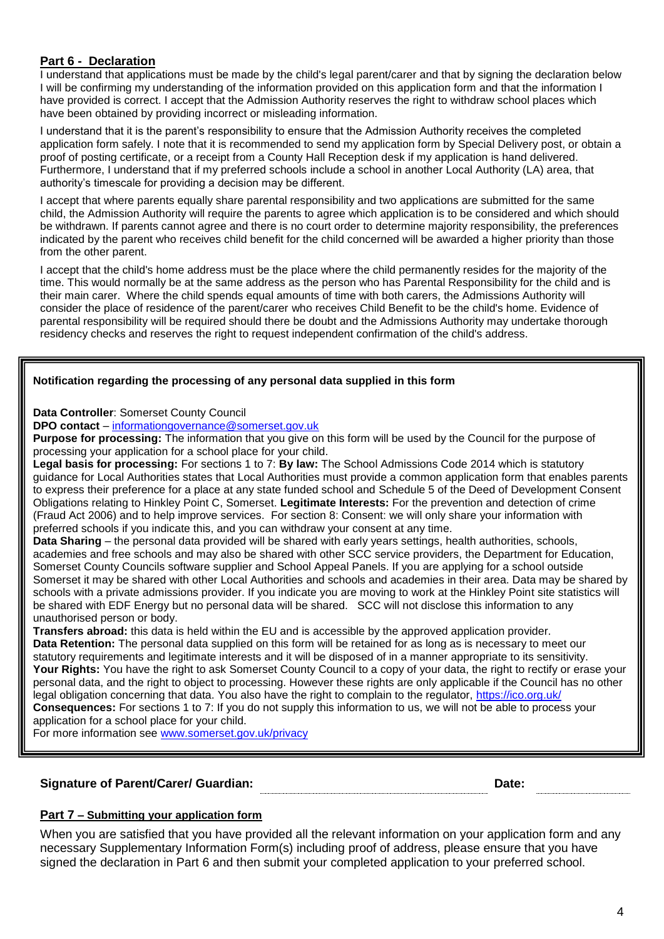#### **Part 6 - Declaration**

I understand that applications must be made by the child's legal parent/carer and that by signing the declaration below I will be confirming my understanding of the information provided on this application form and that the information I have provided is correct. I accept that the Admission Authority reserves the right to withdraw school places which have been obtained by providing incorrect or misleading information.

I understand that it is the parent's responsibility to ensure that the Admission Authority receives the completed application form safely. I note that it is recommended to send my application form by Special Delivery post, or obtain a proof of posting certificate, or a receipt from a County Hall Reception desk if my application is hand delivered. Furthermore, I understand that if my preferred schools include a school in another Local Authority (LA) area, that authority's timescale for providing a decision may be different.

I accept that where parents equally share parental responsibility and two applications are submitted for the same child, the Admission Authority will require the parents to agree which application is to be considered and which should be withdrawn. If parents cannot agree and there is no court order to determine majority responsibility, the preferences indicated by the parent who receives child benefit for the child concerned will be awarded a higher priority than those from the other parent.

I accept that the child's home address must be the place where the child permanently resides for the majority of the time. This would normally be at the same address as the person who has Parental Responsibility for the child and is their main carer. Where the child spends equal amounts of time with both carers, the Admissions Authority will consider the place of residence of the parent/carer who receives Child Benefit to be the child's home. Evidence of parental responsibility will be required should there be doubt and the Admissions Authority may undertake thorough residency checks and reserves the right to request independent confirmation of the child's address.

#### **Notification regarding the processing of any personal data supplied in this form**

**Data Controller**: Somerset County Council

**DPO contact** – [informationgovernance@somerset.gov.uk](mailto:informationgovernance@somerset.gov.uk)

**Purpose for processing:** The information that you give on this form will be used by the Council for the purpose of processing your application for a school place for your child.

**Legal basis for processing:** For sections 1 to 7: **By law:** The School Admissions Code 2014 which is statutory guidance for Local Authorities states that Local Authorities must provide a common application form that enables parents to express their preference for a place at any state funded school and Schedule 5 of the Deed of Development Consent Obligations relating to Hinkley Point C, Somerset. **Legitimate Interests:** For the prevention and detection of crime (Fraud Act 2006) and to help improve services. For section 8: Consent: we will only share your information with preferred schools if you indicate this, and you can withdraw your consent at any time.

**Data Sharing** – the personal data provided will be shared with early years settings, health authorities, schools, academies and free schools and may also be shared with other SCC service providers, the Department for Education, Somerset County Councils software supplier and School Appeal Panels. If you are applying for a school outside Somerset it may be shared with other Local Authorities and schools and academies in their area. Data may be shared by schools with a private admissions provider. If you indicate you are moving to work at the Hinkley Point site statistics will be shared with EDF Energy but no personal data will be shared. SCC will not disclose this information to any unauthorised person or body.

**Transfers abroad:** this data is held within the EU and is accessible by the approved application provider.

**Data Retention:** The personal data supplied on this form will be retained for as long as is necessary to meet our statutory requirements and legitimate interests and it will be disposed of in a manner appropriate to its sensitivity. **Your Rights:** You have the right to ask Somerset County Council to a copy of your data, the right to rectify or erase your personal data, and the right to object to processing. However these rights are only applicable if the Council has no other legal obligation concerning that data. You also have the right to complain to the regulator,<https://ico.org.uk/> **Consequences:** For sections 1 to 7: If you do not supply this information to us, we will not be able to process your application for a school place for your child.

For more information see [www.somerset.gov.uk/privacy](http://www.somerset.gov.uk/privacy)

#### **Signature of Parent/Carer/ Guardian: Date:**

#### **Part 7 – Submitting your application form**

When you are satisfied that you have provided all the relevant information on your application form and any necessary Supplementary Information Form(s) including proof of address, please ensure that you have signed the declaration in Part 6 and then submit your completed application to your preferred school.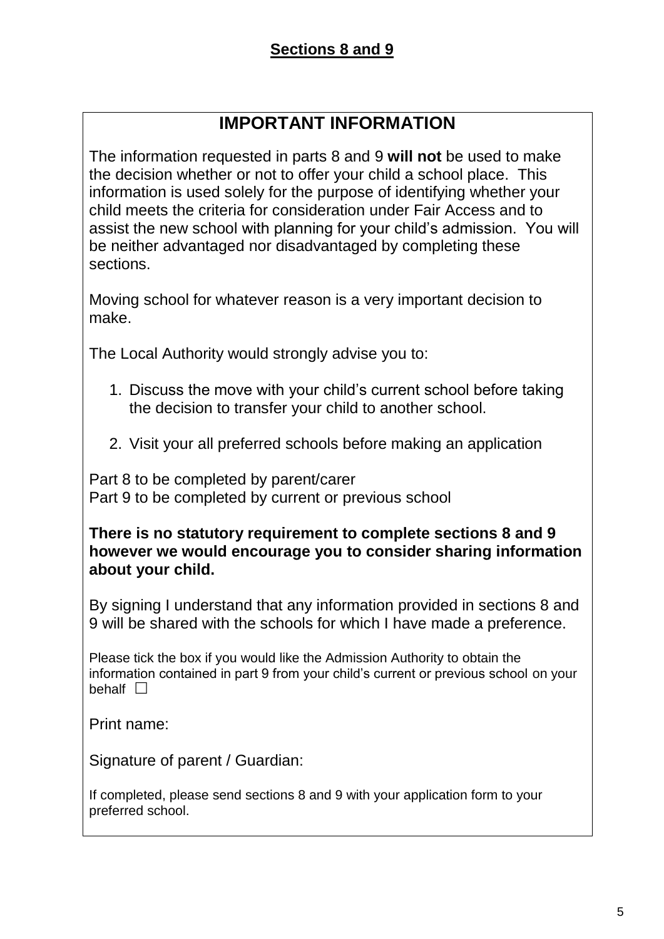# **IMPORTANT INFORMATION**

The information requested in parts 8 and 9 **will not** be used to make the decision whether or not to offer your child a school place. This information is used solely for the purpose of identifying whether your child meets the criteria for consideration under Fair Access and to assist the new school with planning for your child's admission. You will be neither advantaged nor disadvantaged by completing these sections.

Moving school for whatever reason is a very important decision to make.

The Local Authority would strongly advise you to:

- 1. Discuss the move with your child's current school before taking the decision to transfer your child to another school.
- 2. Visit your all preferred schools before making an application

Part 8 to be completed by parent/carer Part 9 to be completed by current or previous school

**There is no statutory requirement to complete sections 8 and 9 however we would encourage you to consider sharing information about your child.**

By signing I understand that any information provided in sections 8 and 9 will be shared with the schools for which I have made a preference.

Please tick the box if you would like the Admission Authority to obtain the information contained in part 9 from your child's current or previous school on your behalf  $\Box$ 

Print name:

Signature of parent / Guardian:

If completed, please send sections 8 and 9 with your application form to your preferred school.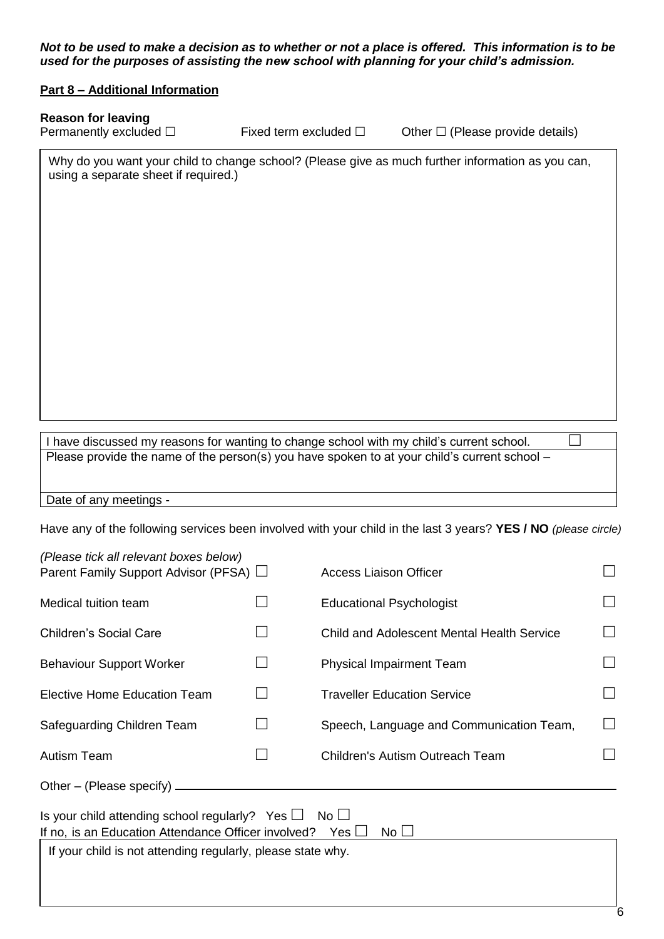*Not to be used to make a decision as to whether or not a place is offered. This information is to be used for the purposes of assisting the new school with planning for your child's admission.*

#### **Part 8 – Additional Information**

#### **Reason for leaving**

Permanently excluded  $\square$  Fixed term excluded  $\square$  Other  $\square$  (Please provide details)

Why do you want your child to change school? (Please give as much further information as you can, using a separate sheet if required.)

I have discussed my reasons for wanting to change school with my child's current school. Please provide the name of the person(s) you have spoken to at your child's current school –

Date of any meetings -

Have any of the following services been involved with your child in the last 3 years? **YES / NO** *(please circle)*

| (Please tick all relevant boxes below)<br>Parent Family Support Advisor (PFSA) □ |                          | Access Liaison Officer                     |                   |
|----------------------------------------------------------------------------------|--------------------------|--------------------------------------------|-------------------|
|                                                                                  |                          |                                            |                   |
| Medical tuition team                                                             |                          | <b>Educational Psychologist</b>            |                   |
| <b>Children's Social Care</b>                                                    |                          | Child and Adolescent Mental Health Service | $\blacksquare$    |
| <b>Behaviour Support Worker</b>                                                  | $\overline{\phantom{0}}$ | <b>Physical Impairment Team</b>            |                   |
| Elective Home Education Team                                                     | L                        | <b>Traveller Education Service</b>         |                   |
| Safeguarding Children Team                                                       | $\mathbf{L}$             | Speech, Language and Communication Team,   | $\vert \ \ \vert$ |
| <b>Autism Team</b>                                                               | L                        | <b>Children's Autism Outreach Team</b>     |                   |
| Other – (Please specify) $-$                                                     |                          |                                            |                   |
| Is your child attending school regularly? Yes $\Box$                             |                          | No <sub>1</sub>                            |                   |
| If no, is an Education Attendance Officer involved?                              |                          | Yes l<br>No L                              |                   |

If your child is not attending regularly, please state why.